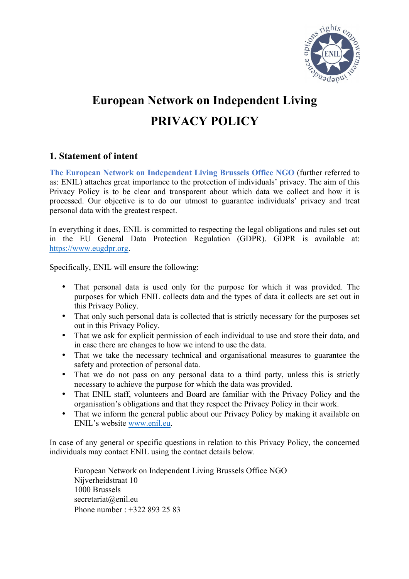

# **European Network on Independent Living PRIVACY POLICY**

## **1. Statement of intent**

**The European Network on Independent Living Brussels Office NGO** (further referred to as: ENIL) attaches great importance to the protection of individuals' privacy. The aim of this Privacy Policy is to be clear and transparent about which data we collect and how it is processed. Our objective is to do our utmost to guarantee individuals' privacy and treat personal data with the greatest respect.

In everything it does, ENIL is committed to respecting the legal obligations and rules set out in the EU General Data Protection Regulation (GDPR). GDPR is available at: https://www.eugdpr.org.

Specifically, ENIL will ensure the following:

- That personal data is used only for the purpose for which it was provided. The purposes for which ENIL collects data and the types of data it collects are set out in this Privacy Policy.
- That only such personal data is collected that is strictly necessary for the purposes set out in this Privacy Policy.
- That we ask for explicit permission of each individual to use and store their data, and in case there are changes to how we intend to use the data.
- That we take the necessary technical and organisational measures to guarantee the safety and protection of personal data.
- That we do not pass on any personal data to a third party, unless this is strictly necessary to achieve the purpose for which the data was provided.
- That ENIL staff, volunteers and Board are familiar with the Privacy Policy and the organisation's obligations and that they respect the Privacy Policy in their work.
- That we inform the general public about our Privacy Policy by making it available on ENIL's website www.enil.eu.

In case of any general or specific questions in relation to this Privacy Policy, the concerned individuals may contact ENIL using the contact details below.

European Network on Independent Living Brussels Office NGO Nijverheidstraat 10 1000 Brussels secretariat@enil.eu Phone number : +322 893 25 83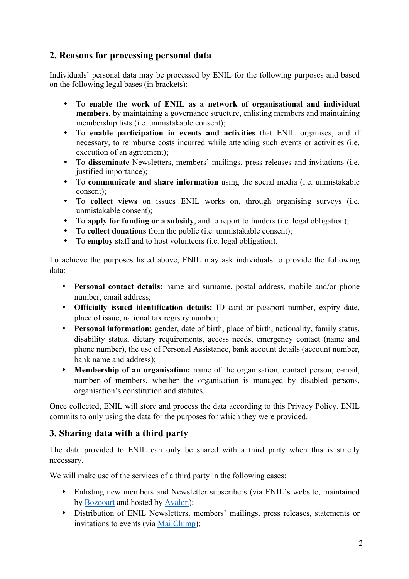## **2. Reasons for processing personal data**

Individuals' personal data may be processed by ENIL for the following purposes and based on the following legal bases (in brackets):

- To **enable the work of ENIL as a network of organisational and individual members**, by maintaining a governance structure, enlisting members and maintaining membership lists (i.e. unmistakable consent);
- To **enable participation in events and activities** that ENIL organises, and if necessary, to reimburse costs incurred while attending such events or activities (i.e. execution of an agreement);
- To **disseminate** Newsletters, members' mailings, press releases and invitations (i.e. justified importance);
- To **communicate and share information** using the social media (i.e. unmistakable consent);
- To **collect views** on issues ENIL works on, through organising surveys (i.e. unmistakable consent);
- To **apply for funding or a subsidy**, and to report to funders (i.e. legal obligation);
- To **collect donations** from the public (i.e. unmistakable consent);
- To **employ** staff and to host volunteers (i.e. legal obligation).

To achieve the purposes listed above, ENIL may ask individuals to provide the following data:

- **Personal contact details:** name and surname, postal address, mobile and/or phone number, email address;
- **Officially issued identification details:** ID card or passport number, expiry date, place of issue, national tax registry number;
- **Personal information:** gender, date of birth, place of birth, nationality, family status, disability status, dietary requirements, access needs, emergency contact (name and phone number), the use of Personal Assistance, bank account details (account number, bank name and address)<sup>.</sup>
- **Membership of an organisation:** name of the organisation, contact person, e-mail, number of members, whether the organisation is managed by disabled persons, organisation's constitution and statutes.

Once collected, ENIL will store and process the data according to this Privacy Policy. ENIL commits to only using the data for the purposes for which they were provided.

# **3. Sharing data with a third party**

The data provided to ENIL can only be shared with a third party when this is strictly necessary.

We will make use of the services of a third party in the following cases:

- Enlisting new members and Newsletter subscribers (via ENIL's website, maintained by Bozooart and hosted by Avalon);
- Distribution of ENIL Newsletters, members' mailings, press releases, statements or invitations to events (via MailChimp);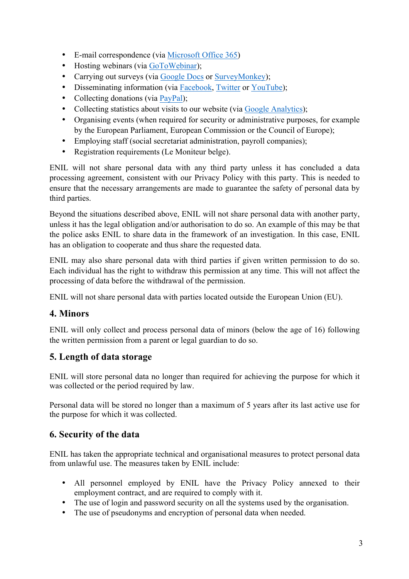- E-mail correspondence (via Microsoft Office 365)
- Hosting webinars (via GoToWebinar);
- Carrying out surveys (via Google Docs or SurveyMonkey);
- Disseminating information (via Facebook, Twitter or YouTube);
- Collecting donations (via PayPal);
- Collecting statistics about visits to our website (via Google Analytics);
- Organising events (when required for security or administrative purposes, for example by the European Parliament, European Commission or the Council of Europe);
- Employing staff (social secretariat administration, payroll companies);
- Registration requirements (Le Moniteur belge).

ENIL will not share personal data with any third party unless it has concluded a data processing agreement, consistent with our Privacy Policy with this party. This is needed to ensure that the necessary arrangements are made to guarantee the safety of personal data by third parties.

Beyond the situations described above, ENIL will not share personal data with another party, unless it has the legal obligation and/or authorisation to do so. An example of this may be that the police asks ENIL to share data in the framework of an investigation. In this case, ENIL has an obligation to cooperate and thus share the requested data.

ENIL may also share personal data with third parties if given written permission to do so. Each individual has the right to withdraw this permission at any time. This will not affect the processing of data before the withdrawal of the permission.

ENIL will not share personal data with parties located outside the European Union (EU).

# **4. Minors**

ENIL will only collect and process personal data of minors (below the age of 16) following the written permission from a parent or legal guardian to do so.

# **5. Length of data storage**

ENIL will store personal data no longer than required for achieving the purpose for which it was collected or the period required by law.

Personal data will be stored no longer than a maximum of 5 years after its last active use for the purpose for which it was collected.

### **6. Security of the data**

ENIL has taken the appropriate technical and organisational measures to protect personal data from unlawful use. The measures taken by ENIL include:

- All personnel employed by ENIL have the Privacy Policy annexed to their employment contract, and are required to comply with it.
- The use of login and password security on all the systems used by the organisation.
- The use of pseudonyms and encryption of personal data when needed.